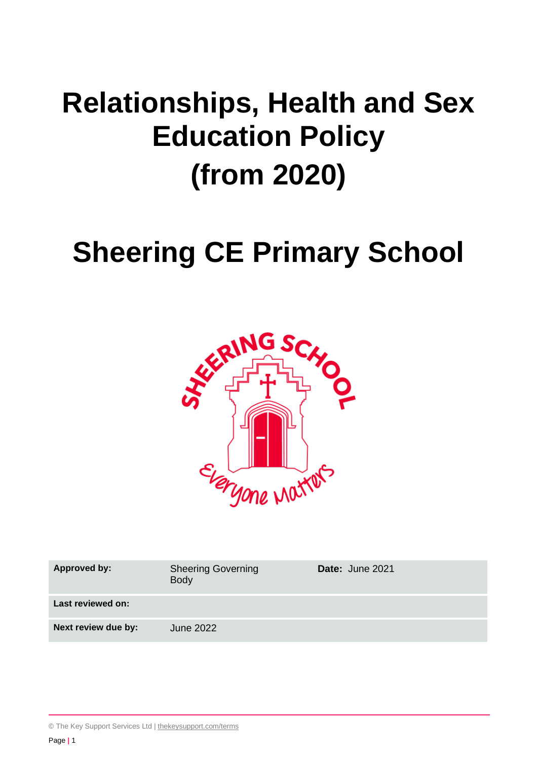# **Relationships, Health and Sex Education Policy (from 2020)**

# **Sheering CE Primary School**



| Approved by:        | <b>Sheering Governing</b><br><b>Body</b> | Date: June 2021 |
|---------------------|------------------------------------------|-----------------|
| Last reviewed on:   |                                          |                 |
| Next review due by: | June 2022                                |                 |

<sup>©</sup> The Key Support Services Ltd | [thekeysupport.com/terms](https://thekeysupport.com/terms-of-use)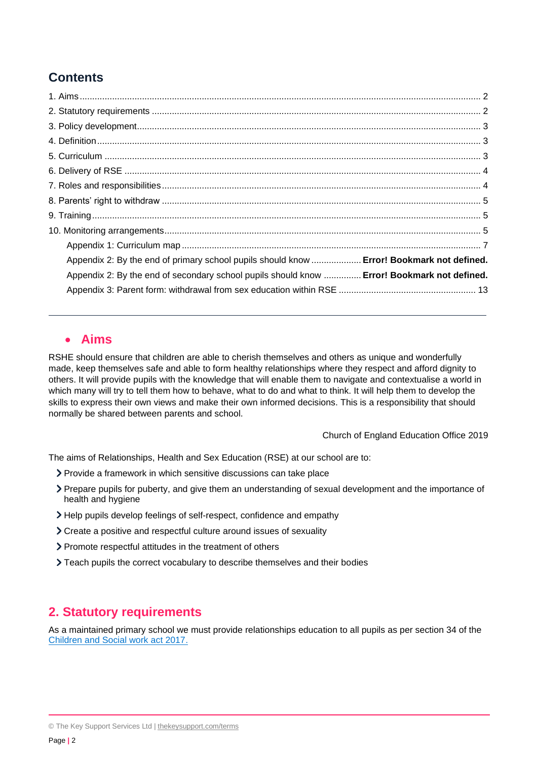# **Contents**

| Appendix 2: By the end of primary school pupils should know  Error! Bookmark not defined.   |  |
|---------------------------------------------------------------------------------------------|--|
| Appendix 2: By the end of secondary school pupils should know  Error! Bookmark not defined. |  |
|                                                                                             |  |

## <span id="page-1-0"></span>• **Aims**

RSHE should ensure that children are able to cherish themselves and others as unique and wonderfully made, keep themselves safe and able to form healthy relationships where they respect and afford dignity to others. It will provide pupils with the knowledge that will enable them to navigate and contextualise a world in which many will try to tell them how to behave, what to do and what to think. It will help them to develop the skills to express their own views and make their own informed decisions. This is a responsibility that should normally be shared between parents and school.

Church of England Education Office 2019

The aims of Relationships, Health and Sex Education (RSE) at our school are to:

- Provide a framework in which sensitive discussions can take place
- Prepare pupils for puberty, and give them an understanding of sexual development and the importance of health and hygiene
- Help pupils develop feelings of self-respect, confidence and empathy
- Create a positive and respectful culture around issues of sexuality
- Promote respectful attitudes in the treatment of others
- Teach pupils the correct vocabulary to describe themselves and their bodies

# <span id="page-1-1"></span>**2. Statutory requirements**

As a maintained primary school we must provide relationships education to all pupils as per section 34 of the [Children and Social work act 2017.](http://www.legislation.gov.uk/ukpga/2017/16/section/34/enacted)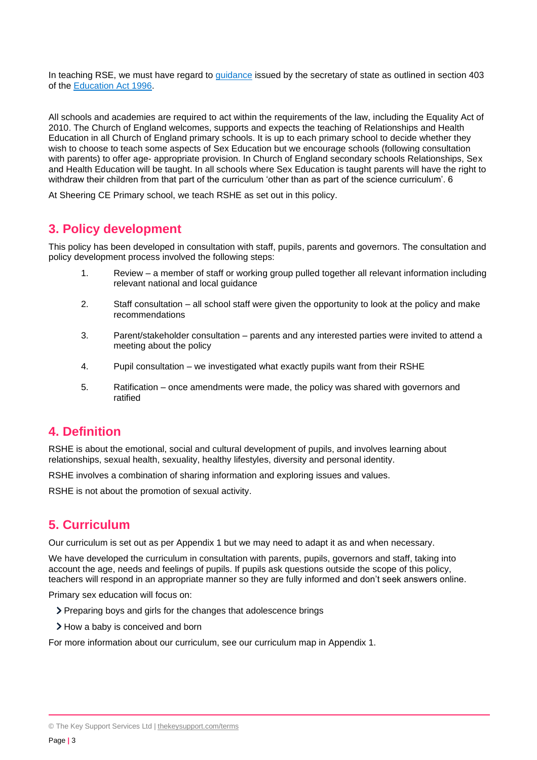In teaching RSE, we must have regard to [guidance](https://www.gov.uk/government/consultations/relationships-and-sex-education-and-health-education) issued by the secretary of state as outlined in section 403 of the [Education Act 1996.](http://www.legislation.gov.uk/ukpga/1996/56/contents)

All schools and academies are required to act within the requirements of the law, including the Equality Act of 2010. The Church of England welcomes, supports and expects the teaching of Relationships and Health Education in all Church of England primary schools. It is up to each primary school to decide whether they wish to choose to teach some aspects of Sex Education but we encourage schools (following consultation with parents) to offer age- appropriate provision. In Church of England secondary schools Relationships, Sex and Health Education will be taught. In all schools where Sex Education is taught parents will have the right to withdraw their children from that part of the curriculum 'other than as part of the science curriculum'. 6

At Sheering CE Primary school, we teach RSHE as set out in this policy.

## <span id="page-2-0"></span>**3. Policy development**

This policy has been developed in consultation with staff, pupils, parents and governors. The consultation and policy development process involved the following steps:

- 1. Review a member of staff or working group pulled together all relevant information including relevant national and local guidance
- 2. Staff consultation all school staff were given the opportunity to look at the policy and make recommendations
- 3. Parent/stakeholder consultation parents and any interested parties were invited to attend a meeting about the policy
- 4. Pupil consultation we investigated what exactly pupils want from their RSHE
- 5. Ratification once amendments were made, the policy was shared with governors and ratified

## <span id="page-2-1"></span>**4. Definition**

RSHE is about the emotional, social and cultural development of pupils, and involves learning about relationships, sexual health, sexuality, healthy lifestyles, diversity and personal identity.

RSHE involves a combination of sharing information and exploring issues and values.

RSHE is not about the promotion of sexual activity.

# <span id="page-2-2"></span>**5. Curriculum**

Our curriculum is set out as per Appendix 1 but we may need to adapt it as and when necessary.

We have developed the curriculum in consultation with parents, pupils, governors and staff, taking into account the age, needs and feelings of pupils. If pupils ask questions outside the scope of this policy, teachers will respond in an appropriate manner so they are fully informed and don't seek answers online.

Primary sex education will focus on:

- Preparing boys and girls for the changes that adolescence brings
- > How a baby is conceived and born

For more information about our curriculum, see our curriculum map in Appendix 1.

<sup>©</sup> The Key Support Services Ltd | [thekeysupport.com/terms](https://thekeysupport.com/terms-of-use)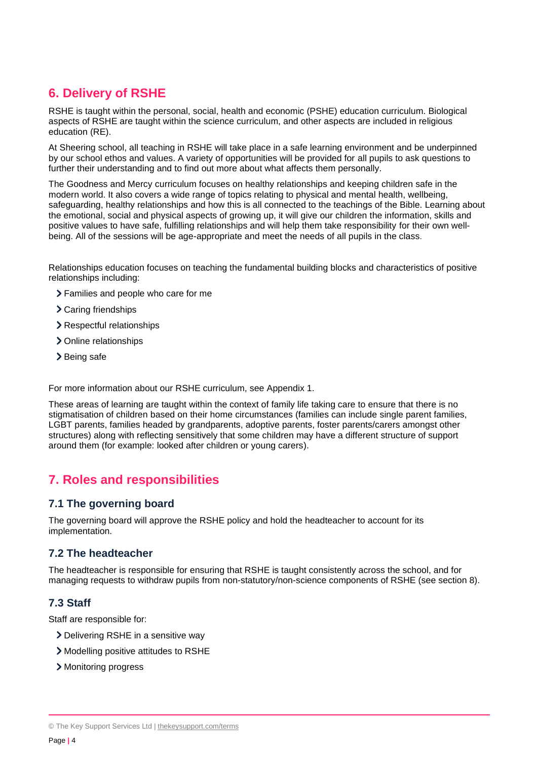# <span id="page-3-0"></span>**6. Delivery of RSHE**

RSHE is taught within the personal, social, health and economic (PSHE) education curriculum. Biological aspects of RSHE are taught within the science curriculum, and other aspects are included in religious education (RE).

At Sheering school, all teaching in RSHE will take place in a safe learning environment and be underpinned by our school ethos and values. A variety of opportunities will be provided for all pupils to ask questions to further their understanding and to find out more about what affects them personally.

The Goodness and Mercy curriculum focuses on healthy relationships and keeping children safe in the modern world. It also covers a wide range of topics relating to physical and mental health, wellbeing, safeguarding, healthy relationships and how this is all connected to the teachings of the Bible. Learning about the emotional, social and physical aspects of growing up, it will give our children the information, skills and positive values to have safe, fulfilling relationships and will help them take responsibility for their own wellbeing. All of the sessions will be age-appropriate and meet the needs of all pupils in the class.

Relationships education focuses on teaching the fundamental building blocks and characteristics of positive relationships including:

- Families and people who care for me
- Caring friendships
- > Respectful relationships
- > Online relationships
- > Being safe

For more information about our RSHE curriculum, see Appendix 1.

These areas of learning are taught within the context of family life taking care to ensure that there is no stigmatisation of children based on their home circumstances (families can include single parent families, LGBT parents, families headed by grandparents, adoptive parents, foster parents/carers amongst other structures) along with reflecting sensitively that some children may have a different structure of support around them (for example: looked after children or young carers).

# <span id="page-3-1"></span>**7. Roles and responsibilities**

#### **7.1 The governing board**

The governing board will approve the RSHE policy and hold the headteacher to account for its implementation.

#### **7.2 The headteacher**

The headteacher is responsible for ensuring that RSHE is taught consistently across the school, and for managing requests to withdraw pupils from non-statutory/non-science components of RSHE (see section 8).

#### **7.3 Staff**

Staff are responsible for:

- Delivering RSHE in a sensitive way
- Modelling positive attitudes to RSHE
- Monitoring progress

<sup>©</sup> The Key Support Services Ltd | [thekeysupport.com/terms](https://thekeysupport.com/terms-of-use)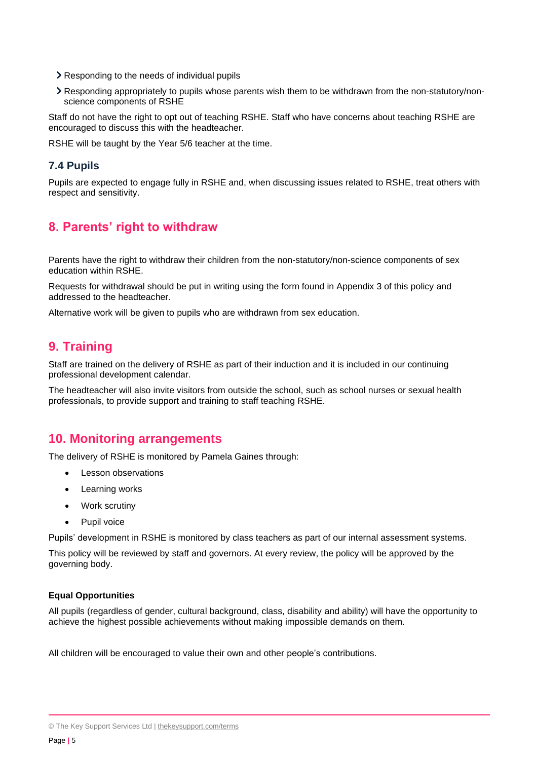- Responding to the needs of individual pupils
- Responding appropriately to pupils whose parents wish them to be withdrawn from the non-statutory/nonscience components of RSHE

Staff do not have the right to opt out of teaching RSHE. Staff who have concerns about teaching RSHE are encouraged to discuss this with the headteacher.

RSHE will be taught by the Year 5/6 teacher at the time.

#### **7.4 Pupils**

Pupils are expected to engage fully in RSHE and, when discussing issues related to RSHE, treat others with respect and sensitivity.

## <span id="page-4-0"></span>**8. Parents' right to withdraw**

Parents have the right to withdraw their children from the non-statutory/non-science components of sex education within RSHE.

Requests for withdrawal should be put in writing using the form found in Appendix 3 of this policy and addressed to the headteacher.

Alternative work will be given to pupils who are withdrawn from sex education.

## <span id="page-4-1"></span>**9. Training**

Staff are trained on the delivery of RSHE as part of their induction and it is included in our continuing professional development calendar.

The headteacher will also invite visitors from outside the school, such as school nurses or sexual health professionals, to provide support and training to staff teaching RSHE.

### <span id="page-4-2"></span>**10. Monitoring arrangements**

The delivery of RSHE is monitored by Pamela Gaines through:

- Lesson observations
- Learning works
- Work scrutiny
- Pupil voice

Pupils' development in RSHE is monitored by class teachers as part of our internal assessment systems.

This policy will be reviewed by staff and governors. At every review, the policy will be approved by the governing body.

#### **Equal Opportunities**

All pupils (regardless of gender, cultural background, class, disability and ability) will have the opportunity to achieve the highest possible achievements without making impossible demands on them.

All children will be encouraged to value their own and other people's contributions.

<sup>©</sup> The Key Support Services Ltd | [thekeysupport.com/terms](https://thekeysupport.com/terms-of-use)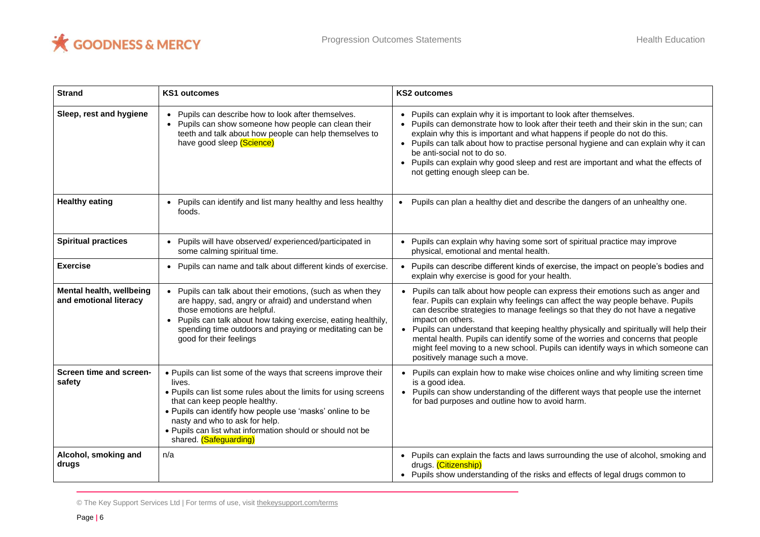

| <b>Strand</b>                                      | <b>KS1 outcomes</b>                                                                                                                                                                                                                                                                                                                                                | <b>KS2 outcomes</b>                                                                                                                                                                                                                                                                                                                                                                                                                                                                                                                                                      |
|----------------------------------------------------|--------------------------------------------------------------------------------------------------------------------------------------------------------------------------------------------------------------------------------------------------------------------------------------------------------------------------------------------------------------------|--------------------------------------------------------------------------------------------------------------------------------------------------------------------------------------------------------------------------------------------------------------------------------------------------------------------------------------------------------------------------------------------------------------------------------------------------------------------------------------------------------------------------------------------------------------------------|
| Sleep, rest and hygiene                            | • Pupils can describe how to look after themselves.<br>Pupils can show someone how people can clean their<br>teeth and talk about how people can help themselves to<br>have good sleep (Science)                                                                                                                                                                   | Pupils can explain why it is important to look after themselves.<br>• Pupils can demonstrate how to look after their teeth and their skin in the sun; can<br>explain why this is important and what happens if people do not do this.<br>Pupils can talk about how to practise personal hygiene and can explain why it can<br>be anti-social not to do so.<br>• Pupils can explain why good sleep and rest are important and what the effects of<br>not getting enough sleep can be.                                                                                     |
| <b>Healthy eating</b>                              | Pupils can identify and list many healthy and less healthy<br>foods.                                                                                                                                                                                                                                                                                               | Pupils can plan a healthy diet and describe the dangers of an unhealthy one.<br>$\bullet$                                                                                                                                                                                                                                                                                                                                                                                                                                                                                |
| <b>Spiritual practices</b>                         | Pupils will have observed/experienced/participated in<br>$\bullet$<br>some calming spiritual time.                                                                                                                                                                                                                                                                 | Pupils can explain why having some sort of spiritual practice may improve<br>physical, emotional and mental health.                                                                                                                                                                                                                                                                                                                                                                                                                                                      |
| <b>Exercise</b>                                    | Pupils can name and talk about different kinds of exercise.<br>$\bullet$                                                                                                                                                                                                                                                                                           | Pupils can describe different kinds of exercise, the impact on people's bodies and<br>explain why exercise is good for your health.                                                                                                                                                                                                                                                                                                                                                                                                                                      |
| Mental health, wellbeing<br>and emotional literacy | • Pupils can talk about their emotions, (such as when they<br>are happy, sad, angry or afraid) and understand when<br>those emotions are helpful.<br>• Pupils can talk about how taking exercise, eating healthily,<br>spending time outdoors and praying or meditating can be<br>good for their feelings                                                          | Pupils can talk about how people can express their emotions such as anger and<br>fear. Pupils can explain why feelings can affect the way people behave. Pupils<br>can describe strategies to manage feelings so that they do not have a negative<br>impact on others.<br>Pupils can understand that keeping healthy physically and spiritually will help their<br>mental health. Pupils can identify some of the worries and concerns that people<br>might feel moving to a new school. Pupils can identify ways in which someone can<br>positively manage such a move. |
| Screen time and screen-<br>safety                  | . Pupils can list some of the ways that screens improve their<br>lives.<br>• Pupils can list some rules about the limits for using screens<br>that can keep people healthy.<br>. Pupils can identify how people use 'masks' online to be<br>nasty and who to ask for help.<br>. Pupils can list what information should or should not be<br>shared. (Safeguarding) | • Pupils can explain how to make wise choices online and why limiting screen time<br>is a good idea.<br>• Pupils can show understanding of the different ways that people use the internet<br>for bad purposes and outline how to avoid harm.                                                                                                                                                                                                                                                                                                                            |
| Alcohol, smoking and<br>drugs                      | n/a                                                                                                                                                                                                                                                                                                                                                                | Pupils can explain the facts and laws surrounding the use of alcohol, smoking and<br>drugs. (Citizenship)<br>• Pupils show understanding of the risks and effects of legal drugs common to                                                                                                                                                                                                                                                                                                                                                                               |

© The Key Support Services Ltd | For terms of use, visit [thekeysupport.com/terms](https://thekeysupport.com/terms-of-use)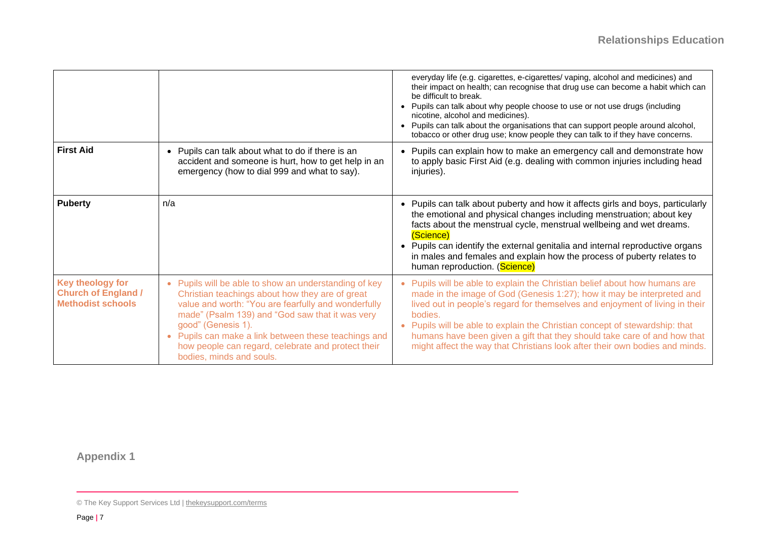|                                                                            |                                                                                                                                                                                                                                                                                                                                                                                  | everyday life (e.g. cigarettes, e-cigarettes/ vaping, alcohol and medicines) and<br>their impact on health; can recognise that drug use can become a habit which can<br>be difficult to break.<br>• Pupils can talk about why people choose to use or not use drugs (including<br>nicotine, alcohol and medicines).<br>• Pupils can talk about the organisations that can support people around alcohol,<br>tobacco or other drug use; know people they can talk to if they have concerns. |
|----------------------------------------------------------------------------|----------------------------------------------------------------------------------------------------------------------------------------------------------------------------------------------------------------------------------------------------------------------------------------------------------------------------------------------------------------------------------|--------------------------------------------------------------------------------------------------------------------------------------------------------------------------------------------------------------------------------------------------------------------------------------------------------------------------------------------------------------------------------------------------------------------------------------------------------------------------------------------|
| <b>First Aid</b>                                                           | • Pupils can talk about what to do if there is an<br>accident and someone is hurt, how to get help in an<br>emergency (how to dial 999 and what to say).                                                                                                                                                                                                                         | Pupils can explain how to make an emergency call and demonstrate how<br>to apply basic First Aid (e.g. dealing with common injuries including head<br>injuries).                                                                                                                                                                                                                                                                                                                           |
| <b>Puberty</b>                                                             | n/a                                                                                                                                                                                                                                                                                                                                                                              | • Pupils can talk about puberty and how it affects girls and boys, particularly<br>the emotional and physical changes including menstruation; about key<br>facts about the menstrual cycle, menstrual wellbeing and wet dreams.<br>(Science)<br>• Pupils can identify the external genitalia and internal reproductive organs<br>in males and females and explain how the process of puberty relates to<br>human reproduction. (Science)                                                   |
| Key theology for<br><b>Church of England /</b><br><b>Methodist schools</b> | • Pupils will be able to show an understanding of key<br>Christian teachings about how they are of great<br>value and worth: "You are fearfully and wonderfully<br>made" (Psalm 139) and "God saw that it was very<br>good" (Genesis 1).<br>Pupils can make a link between these teachings and<br>how people can regard, celebrate and protect their<br>bodies, minds and souls. | • Pupils will be able to explain the Christian belief about how humans are<br>made in the image of God (Genesis 1:27); how it may be interpreted and<br>lived out in people's regard for themselves and enjoyment of living in their<br>bodies.<br>Pupils will be able to explain the Christian concept of stewardship: that<br>humans have been given a gift that they should take care of and how that<br>might affect the way that Christians look after their own bodies and minds.    |

**Appendix 1**

<span id="page-6-0"></span><sup>©</sup> The Key Support Services Ltd | [thekeysupport.com/terms](https://thekeysupport.com/terms-of-use)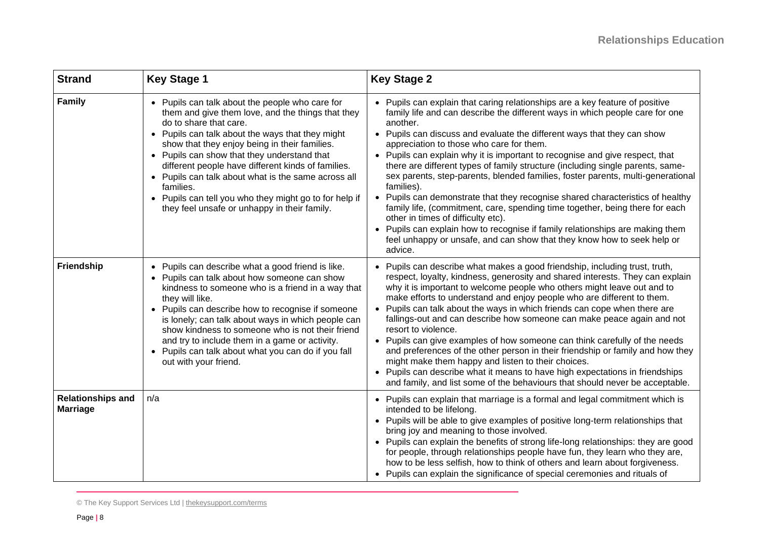| <b>Strand</b>                               | <b>Key Stage 1</b>                                                                                                                                                                                                                                                                                                                                                                                                                                                                                                     | <b>Key Stage 2</b>                                                                                                                                                                                                                                                                                                                                                                                                                                                                                                                                                                                                                                                                                                                                                                                                                                                                                                                                |
|---------------------------------------------|------------------------------------------------------------------------------------------------------------------------------------------------------------------------------------------------------------------------------------------------------------------------------------------------------------------------------------------------------------------------------------------------------------------------------------------------------------------------------------------------------------------------|---------------------------------------------------------------------------------------------------------------------------------------------------------------------------------------------------------------------------------------------------------------------------------------------------------------------------------------------------------------------------------------------------------------------------------------------------------------------------------------------------------------------------------------------------------------------------------------------------------------------------------------------------------------------------------------------------------------------------------------------------------------------------------------------------------------------------------------------------------------------------------------------------------------------------------------------------|
| Family                                      | • Pupils can talk about the people who care for<br>them and give them love, and the things that they<br>do to share that care.<br>• Pupils can talk about the ways that they might<br>show that they enjoy being in their families.<br>• Pupils can show that they understand that<br>different people have different kinds of families.<br>• Pupils can talk about what is the same across all<br>families.<br>• Pupils can tell you who they might go to for help if<br>they feel unsafe or unhappy in their family. | • Pupils can explain that caring relationships are a key feature of positive<br>family life and can describe the different ways in which people care for one<br>another.<br>• Pupils can discuss and evaluate the different ways that they can show<br>appreciation to those who care for them.<br>• Pupils can explain why it is important to recognise and give respect, that<br>there are different types of family structure (including single parents, same-<br>sex parents, step-parents, blended families, foster parents, multi-generational<br>families).<br>• Pupils can demonstrate that they recognise shared characteristics of healthy<br>family life, (commitment, care, spending time together, being there for each<br>other in times of difficulty etc).<br>• Pupils can explain how to recognise if family relationships are making them<br>feel unhappy or unsafe, and can show that they know how to seek help or<br>advice. |
| Friendship                                  | • Pupils can describe what a good friend is like.<br>• Pupils can talk about how someone can show<br>kindness to someone who is a friend in a way that<br>they will like.<br>• Pupils can describe how to recognise if someone<br>is lonely; can talk about ways in which people can<br>show kindness to someone who is not their friend<br>and try to include them in a game or activity.<br>• Pupils can talk about what you can do if you fall<br>out with your friend.                                             | • Pupils can describe what makes a good friendship, including trust, truth,<br>respect, loyalty, kindness, generosity and shared interests. They can explain<br>why it is important to welcome people who others might leave out and to<br>make efforts to understand and enjoy people who are different to them.<br>Pupils can talk about the ways in which friends can cope when there are<br>fallings-out and can describe how someone can make peace again and not<br>resort to violence.<br>• Pupils can give examples of how someone can think carefully of the needs<br>and preferences of the other person in their friendship or family and how they<br>might make them happy and listen to their choices.<br>• Pupils can describe what it means to have high expectations in friendships<br>and family, and list some of the behaviours that should never be acceptable.                                                               |
| <b>Relationships and</b><br><b>Marriage</b> | n/a                                                                                                                                                                                                                                                                                                                                                                                                                                                                                                                    | • Pupils can explain that marriage is a formal and legal commitment which is<br>intended to be lifelong.<br>• Pupils will be able to give examples of positive long-term relationships that<br>bring joy and meaning to those involved.<br>• Pupils can explain the benefits of strong life-long relationships: they are good<br>for people, through relationships people have fun, they learn who they are,<br>how to be less selfish, how to think of others and learn about forgiveness.<br>• Pupils can explain the significance of special ceremonies and rituals of                                                                                                                                                                                                                                                                                                                                                                         |

© The Key Support Services Ltd | [thekeysupport.com/terms](https://thekeysupport.com/terms-of-use)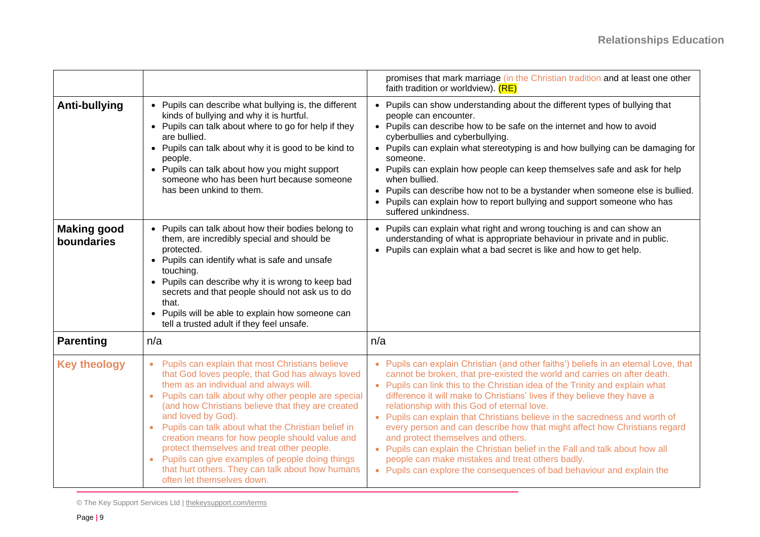|                                  |                                                                                                                                                                                                                                                                                                                                                                                                                                                                                                                                                                                                                               | promises that mark marriage (in the Christian tradition and at least one other<br>faith tradition or worldview). (RE)                                                                                                                                                                                                                                                                                                                                                                                                                                                                                                                                                                                                                                                                      |
|----------------------------------|-------------------------------------------------------------------------------------------------------------------------------------------------------------------------------------------------------------------------------------------------------------------------------------------------------------------------------------------------------------------------------------------------------------------------------------------------------------------------------------------------------------------------------------------------------------------------------------------------------------------------------|--------------------------------------------------------------------------------------------------------------------------------------------------------------------------------------------------------------------------------------------------------------------------------------------------------------------------------------------------------------------------------------------------------------------------------------------------------------------------------------------------------------------------------------------------------------------------------------------------------------------------------------------------------------------------------------------------------------------------------------------------------------------------------------------|
| Anti-bullying                    | • Pupils can describe what bullying is, the different<br>kinds of bullying and why it is hurtful.<br>• Pupils can talk about where to go for help if they<br>are bullied.<br>• Pupils can talk about why it is good to be kind to<br>people.<br>• Pupils can talk about how you might support<br>someone who has been hurt because someone<br>has been unkind to them.                                                                                                                                                                                                                                                        | • Pupils can show understanding about the different types of bullying that<br>people can encounter.<br>• Pupils can describe how to be safe on the internet and how to avoid<br>cyberbullies and cyberbullying.<br>• Pupils can explain what stereotyping is and how bullying can be damaging for<br>someone.<br>• Pupils can explain how people can keep themselves safe and ask for help<br>when bullied.<br>• Pupils can describe how not to be a bystander when someone else is bullied.<br>• Pupils can explain how to report bullying and support someone who has<br>suffered unkindness.                                                                                                                                                                                            |
| <b>Making good</b><br>boundaries | • Pupils can talk about how their bodies belong to<br>them, are incredibly special and should be<br>protected.<br>• Pupils can identify what is safe and unsafe<br>touching.<br>• Pupils can describe why it is wrong to keep bad<br>secrets and that people should not ask us to do<br>that.<br>• Pupils will be able to explain how someone can<br>tell a trusted adult if they feel unsafe.                                                                                                                                                                                                                                | • Pupils can explain what right and wrong touching is and can show an<br>understanding of what is appropriate behaviour in private and in public.<br>• Pupils can explain what a bad secret is like and how to get help.                                                                                                                                                                                                                                                                                                                                                                                                                                                                                                                                                                   |
| <b>Parenting</b>                 | n/a                                                                                                                                                                                                                                                                                                                                                                                                                                                                                                                                                                                                                           | n/a                                                                                                                                                                                                                                                                                                                                                                                                                                                                                                                                                                                                                                                                                                                                                                                        |
| <b>Key theology</b>              | Pupils can explain that most Christians believe<br>$\bullet$<br>that God loves people, that God has always loved<br>them as an individual and always will.<br>Pupils can talk about why other people are special<br>$\bullet$<br>(and how Christians believe that they are created<br>and loved by God).<br>Pupils can talk about what the Christian belief in<br>$\bullet$<br>creation means for how people should value and<br>protect themselves and treat other people.<br>Pupils can give examples of people doing things<br>$\bullet$<br>that hurt others. They can talk about how humans<br>often let themselves down. | • Pupils can explain Christian (and other faiths') beliefs in an eternal Love, that<br>cannot be broken, that pre-existed the world and carries on after death.<br>• Pupils can link this to the Christian idea of the Trinity and explain what<br>difference it will make to Christians' lives if they believe they have a<br>relationship with this God of eternal love.<br>• Pupils can explain that Christians believe in the sacredness and worth of<br>every person and can describe how that might affect how Christians regard<br>and protect themselves and others.<br>• Pupils can explain the Christian belief in the Fall and talk about how all<br>people can make mistakes and treat others badly.<br>• Pupils can explore the consequences of bad behaviour and explain the |

© The Key Support Services Ltd | [thekeysupport.com/terms](https://thekeysupport.com/terms-of-use)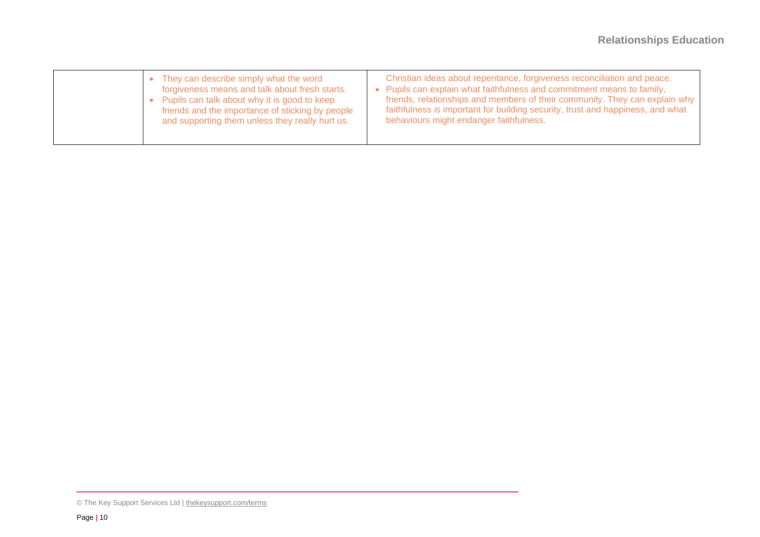| Christian ideas about repentance, forgiveness reconciliation and peace.<br>They can describe simply what the word<br>• Pupils can explain what faithfulness and commitment means to family,<br>forgiveness means and talk about fresh starts.<br>friends, relationships and members of their community. They can explain why<br>Pupils can talk about why it is good to keep<br>faithfulness is important for building security, trust and happiness, and what<br>friends and the importance of sticking by people<br>behaviours might endanger faithfulness.<br>and supporting them unless they really hurt us. |
|------------------------------------------------------------------------------------------------------------------------------------------------------------------------------------------------------------------------------------------------------------------------------------------------------------------------------------------------------------------------------------------------------------------------------------------------------------------------------------------------------------------------------------------------------------------------------------------------------------------|
|------------------------------------------------------------------------------------------------------------------------------------------------------------------------------------------------------------------------------------------------------------------------------------------------------------------------------------------------------------------------------------------------------------------------------------------------------------------------------------------------------------------------------------------------------------------------------------------------------------------|

<sup>©</sup> The Key Support Services Ltd | [thekeysupport.com/terms](https://thekeysupport.com/terms-of-use)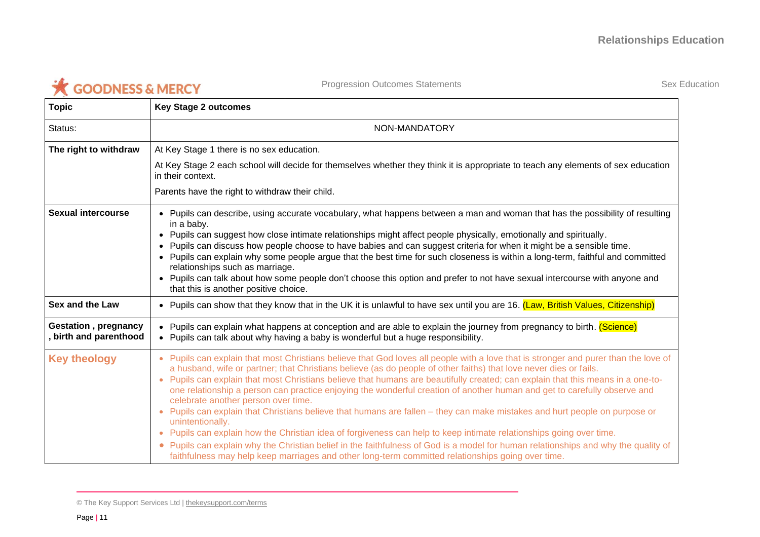

#### Progression Outcomes Statements **Sex Education** Sex Education

| <b>Topic</b>                                        | <b>Key Stage 2 outcomes</b>                                                                                                                                                                                                                                                                                                                                                                                                                                                                                                                                                                                                                                                                                                                                                                                                                                                                                                                                                                                                                                                        |
|-----------------------------------------------------|------------------------------------------------------------------------------------------------------------------------------------------------------------------------------------------------------------------------------------------------------------------------------------------------------------------------------------------------------------------------------------------------------------------------------------------------------------------------------------------------------------------------------------------------------------------------------------------------------------------------------------------------------------------------------------------------------------------------------------------------------------------------------------------------------------------------------------------------------------------------------------------------------------------------------------------------------------------------------------------------------------------------------------------------------------------------------------|
| Status:                                             | NON-MANDATORY                                                                                                                                                                                                                                                                                                                                                                                                                                                                                                                                                                                                                                                                                                                                                                                                                                                                                                                                                                                                                                                                      |
| The right to withdraw                               | At Key Stage 1 there is no sex education.                                                                                                                                                                                                                                                                                                                                                                                                                                                                                                                                                                                                                                                                                                                                                                                                                                                                                                                                                                                                                                          |
|                                                     | At Key Stage 2 each school will decide for themselves whether they think it is appropriate to teach any elements of sex education<br>in their context.                                                                                                                                                                                                                                                                                                                                                                                                                                                                                                                                                                                                                                                                                                                                                                                                                                                                                                                             |
|                                                     | Parents have the right to withdraw their child.                                                                                                                                                                                                                                                                                                                                                                                                                                                                                                                                                                                                                                                                                                                                                                                                                                                                                                                                                                                                                                    |
| <b>Sexual intercourse</b>                           | • Pupils can describe, using accurate vocabulary, what happens between a man and woman that has the possibility of resulting<br>in a baby.<br>• Pupils can suggest how close intimate relationships might affect people physically, emotionally and spiritually.<br>. Pupils can discuss how people choose to have babies and can suggest criteria for when it might be a sensible time.<br>• Pupils can explain why some people argue that the best time for such closeness is within a long-term, faithful and committed<br>relationships such as marriage.<br>Pupils can talk about how some people don't choose this option and prefer to not have sexual intercourse with anyone and                                                                                                                                                                                                                                                                                                                                                                                          |
|                                                     | that this is another positive choice.                                                                                                                                                                                                                                                                                                                                                                                                                                                                                                                                                                                                                                                                                                                                                                                                                                                                                                                                                                                                                                              |
| Sex and the Law                                     | • Pupils can show that they know that in the UK it is unlawful to have sex until you are 16. (Law, British Values, Citizenship)                                                                                                                                                                                                                                                                                                                                                                                                                                                                                                                                                                                                                                                                                                                                                                                                                                                                                                                                                    |
| <b>Gestation, pregnancy</b><br>birth and parenthood | • Pupils can explain what happens at conception and are able to explain the journey from pregnancy to birth. (Science)<br>• Pupils can talk about why having a baby is wonderful but a huge responsibility.                                                                                                                                                                                                                                                                                                                                                                                                                                                                                                                                                                                                                                                                                                                                                                                                                                                                        |
| <b>Key theology</b>                                 | • Pupils can explain that most Christians believe that God loves all people with a love that is stronger and purer than the love of<br>a husband, wife or partner; that Christians believe (as do people of other faiths) that love never dies or fails.<br>• Pupils can explain that most Christians believe that humans are beautifully created; can explain that this means in a one-to-<br>one relationship a person can practice enjoying the wonderful creation of another human and get to carefully observe and<br>celebrate another person over time.<br>• Pupils can explain that Christians believe that humans are fallen – they can make mistakes and hurt people on purpose or<br>unintentionally.<br>• Pupils can explain how the Christian idea of forgiveness can help to keep intimate relationships going over time.<br>• Pupils can explain why the Christian belief in the faithfulness of God is a model for human relationships and why the quality of<br>faithfulness may help keep marriages and other long-term committed relationships going over time. |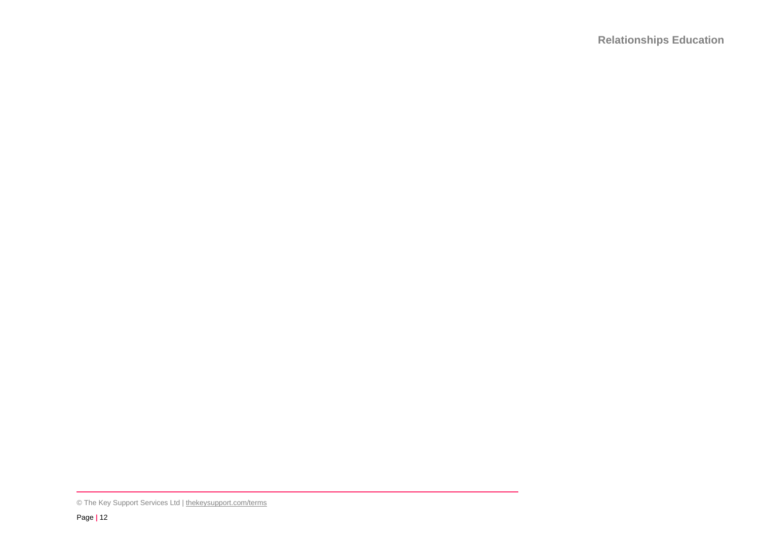**Relationships Education**

<sup>©</sup> The Key Support Services Ltd | [thekeysupport.com/terms](https://thekeysupport.com/terms-of-use)